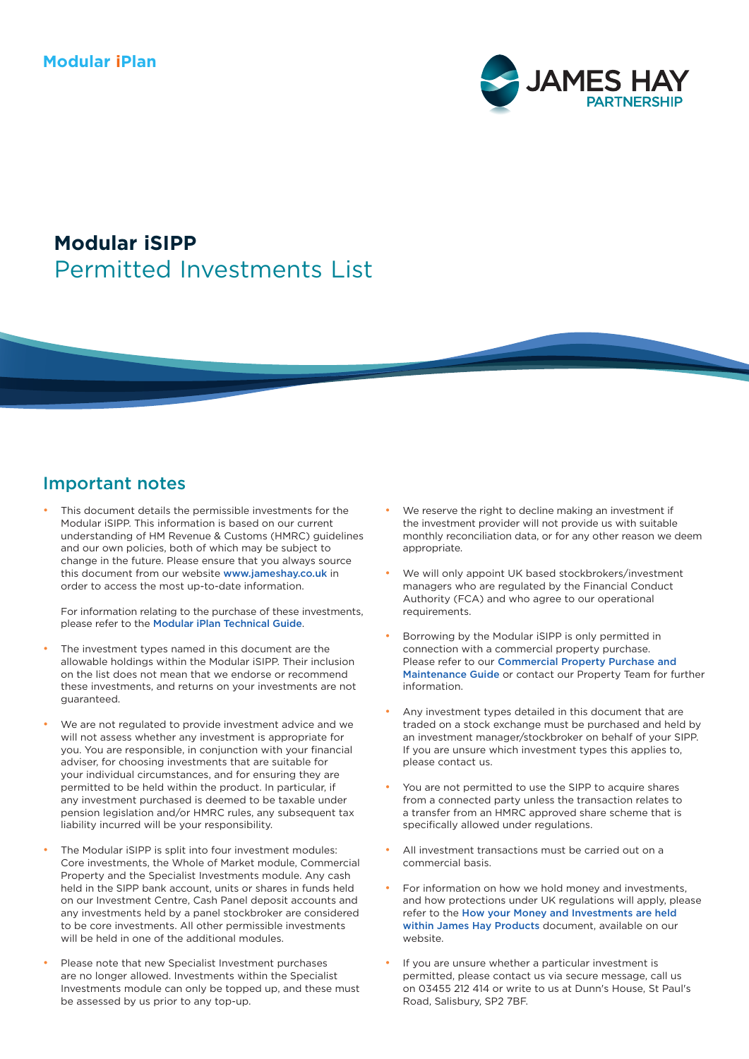

# Permitted Investments List **Modular iSIPP**

# Important notes

This document details the permissible investments for the Modular iSIPP. This information is based on our current understanding of HM Revenue & Customs (HMRC) guidelines and our own policies, both of which may be subject to change in the future. Please ensure that you always source this document from our website [www.jameshay.co.uk](http://www.jameshay.co.uk) in order to access the most up-to-date information.

For information relating to the purchase of these investments, please refer to the [Modular iPlan Technical Guide](https://www.jameshay.co.uk/OldCMS/DocumentView.aspx?DocumentID=2992).

- The investment types named in this document are the allowable holdings within the Modular iSIPP. Their inclusion on the list does not mean that we endorse or recommend these investments, and returns on your investments are not guaranteed.
- We are not regulated to provide investment advice and we will not assess whether any investment is appropriate for you. You are responsible, in conjunction with your financial adviser, for choosing investments that are suitable for your individual circumstances, and for ensuring they are permitted to be held within the product. In particular, if any investment purchased is deemed to be taxable under pension legislation and/or HMRC rules, any subsequent tax liability incurred will be your responsibility.
- The Modular iSIPP is split into four investment modules: Core investments, the Whole of Market module, Commercial Property and the Specialist Investments module. Any cash held in the SIPP bank account, units or shares in funds held on our Investment Centre, Cash Panel deposit accounts and any investments held by a panel stockbroker are considered to be core investments. All other permissible investments will be held in one of the additional modules.
- Please note that new Specialist Investment purchases are no longer allowed. Investments within the Specialist Investments module can only be topped up, and these must be assessed by us prior to any top-up.
- We reserve the right to decline making an investment if the investment provider will not provide us with suitable monthly reconciliation data, or for any other reason we deem appropriate
- We will only appoint UK based stockbrokers/investment managers who are regulated by the Financial Conduct Authority (FCA) and who agree to our operational requirements.
- Borrowing by the Modular iSIPP is only permitted in connection with a commercial property purchase. Please refer to our [Commercial Property Purchase and](https://www.jameshay.co.uk/OldCMS/DocumentView.aspx?DocumentID=87)  [Maintenance Guide](https://www.jameshay.co.uk/OldCMS/DocumentView.aspx?DocumentID=87) or contact our Property Team for further information.
- Any investment types detailed in this document that are traded on a stock exchange must be purchased and held by an investment manager/stockbroker on behalf of your SIPP. If you are unsure which investment types this applies to, please contact us.
- You are not permitted to use the SIPP to acquire shares from a connected party unless the transaction relates to a transfer from an HMRC approved share scheme that is specifically allowed under regulations.
- All investment transactions must be carried out on a commercial basis.
- For information on how we hold money and investments, and how protections under UK regulations will apply, please refer to the [How your Money and Investments are held](https://www.jameshay.co.uk/OldCMS/DocumentView.aspx?DocumentID=3024)  [within James Hay Products](https://www.jameshay.co.uk/OldCMS/DocumentView.aspx?DocumentID=3024) document, available on our website.
- If you are unsure whether a particular investment is permitted, please contact us via secure message, call us on 03455 212 414 or write to us at Dunn's House, St Paul's Road, Salisbury, SP2 7BF.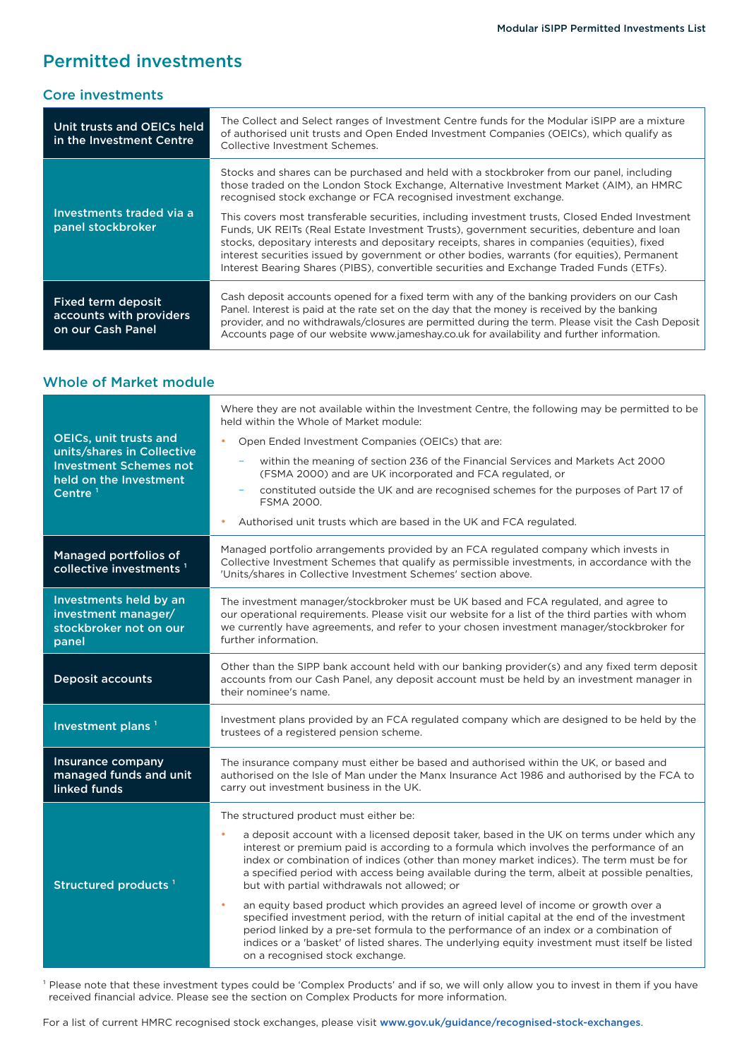### Permitted investments

#### Core investments

| Unit trusts and OEICs held<br>in the Investment Centre             | The Collect and Select ranges of Investment Centre funds for the Modular iSIPP are a mixture<br>of authorised unit trusts and Open Ended Investment Companies (OEICs), which qualify as<br>Collective Investment Schemes.                                                                                                                                                                                                                                                               |
|--------------------------------------------------------------------|-----------------------------------------------------------------------------------------------------------------------------------------------------------------------------------------------------------------------------------------------------------------------------------------------------------------------------------------------------------------------------------------------------------------------------------------------------------------------------------------|
| Investments traded via a<br>panel stockbroker                      | Stocks and shares can be purchased and held with a stockbroker from our panel, including<br>those traded on the London Stock Exchange, Alternative Investment Market (AIM), an HMRC<br>recognised stock exchange or FCA recognised investment exchange.                                                                                                                                                                                                                                 |
|                                                                    | This covers most transferable securities, including investment trusts, Closed Ended Investment<br>Funds, UK REITs (Real Estate Investment Trusts), government securities, debenture and loan<br>stocks, depositary interests and depositary receipts, shares in companies (equities), fixed<br>interest securities issued by government or other bodies, warrants (for equities), Permanent<br>Interest Bearing Shares (PIBS), convertible securities and Exchange Traded Funds (ETFs). |
| Fixed term deposit<br>accounts with providers<br>on our Cash Panel | Cash deposit accounts opened for a fixed term with any of the banking providers on our Cash<br>Panel. Interest is paid at the rate set on the day that the money is received by the banking<br>provider, and no withdrawals/closures are permitted during the term. Please visit the Cash Deposit<br>Accounts page of our website www.jameshay.co.uk for availability and further information.                                                                                          |

### Whole of Market module

| <b>OEICs, unit trusts and</b><br>units/shares in Collective<br><b>Investment Schemes not</b><br>held on the Investment<br>Centre $1$ | Where they are not available within the Investment Centre, the following may be permitted to be<br>held within the Whole of Market module:<br>Open Ended Investment Companies (OEICs) that are:<br>within the meaning of section 236 of the Financial Services and Markets Act 2000<br>(FSMA 2000) and are UK incorporated and FCA regulated, or<br>constituted outside the UK and are recognised schemes for the purposes of Part 17 of<br><b>FSMA 2000.</b><br>Authorised unit trusts which are based in the UK and FCA regulated.                                                                                                                                                                                                                                                                                                                                                                                    |  |
|--------------------------------------------------------------------------------------------------------------------------------------|-------------------------------------------------------------------------------------------------------------------------------------------------------------------------------------------------------------------------------------------------------------------------------------------------------------------------------------------------------------------------------------------------------------------------------------------------------------------------------------------------------------------------------------------------------------------------------------------------------------------------------------------------------------------------------------------------------------------------------------------------------------------------------------------------------------------------------------------------------------------------------------------------------------------------|--|
| Managed portfolios of<br>collective investments <sup>1</sup>                                                                         | Managed portfolio arrangements provided by an FCA regulated company which invests in<br>Collective Investment Schemes that qualify as permissible investments, in accordance with the<br>'Units/shares in Collective Investment Schemes' section above.                                                                                                                                                                                                                                                                                                                                                                                                                                                                                                                                                                                                                                                                 |  |
| Investments held by an<br>investment manager/<br>stockbroker not on our<br>panel                                                     | The investment manager/stockbroker must be UK based and FCA regulated, and agree to<br>our operational requirements. Please visit our website for a list of the third parties with whom<br>we currently have agreements, and refer to your chosen investment manager/stockbroker for<br>further information.                                                                                                                                                                                                                                                                                                                                                                                                                                                                                                                                                                                                            |  |
| <b>Deposit accounts</b>                                                                                                              | Other than the SIPP bank account held with our banking provider(s) and any fixed term deposit<br>accounts from our Cash Panel, any deposit account must be held by an investment manager in<br>their nominee's name.                                                                                                                                                                                                                                                                                                                                                                                                                                                                                                                                                                                                                                                                                                    |  |
| Investment plans <sup>1</sup>                                                                                                        | Investment plans provided by an FCA regulated company which are designed to be held by the<br>trustees of a registered pension scheme.                                                                                                                                                                                                                                                                                                                                                                                                                                                                                                                                                                                                                                                                                                                                                                                  |  |
| Insurance company<br>managed funds and unit<br>linked funds                                                                          | The insurance company must either be based and authorised within the UK, or based and<br>authorised on the Isle of Man under the Manx Insurance Act 1986 and authorised by the FCA to<br>carry out investment business in the UK.                                                                                                                                                                                                                                                                                                                                                                                                                                                                                                                                                                                                                                                                                       |  |
| Structured products <sup>1</sup>                                                                                                     | The structured product must either be:<br>a deposit account with a licensed deposit taker, based in the UK on terms under which any<br>$\bullet$<br>interest or premium paid is according to a formula which involves the performance of an<br>index or combination of indices (other than money market indices). The term must be for<br>a specified period with access being available during the term, albeit at possible penalties,<br>but with partial withdrawals not allowed; or<br>an equity based product which provides an agreed level of income or growth over a<br>$\bullet$<br>specified investment period, with the return of initial capital at the end of the investment<br>period linked by a pre-set formula to the performance of an index or a combination of<br>indices or a 'basket' of listed shares. The underlying equity investment must itself be listed<br>on a recognised stock exchange. |  |

<sup>1</sup> Please note that these investment types could be 'Complex Products' and if so, we will only allow you to invest in them if you have received financial advice. Please see the section on Complex Products for more information.

For a list of current HMRC recognised stock exchanges, please visit [www.gov.uk/guidance/recognised-stock-exchanges](http://www.gov.uk/guidance/recognised-stock-exchanges).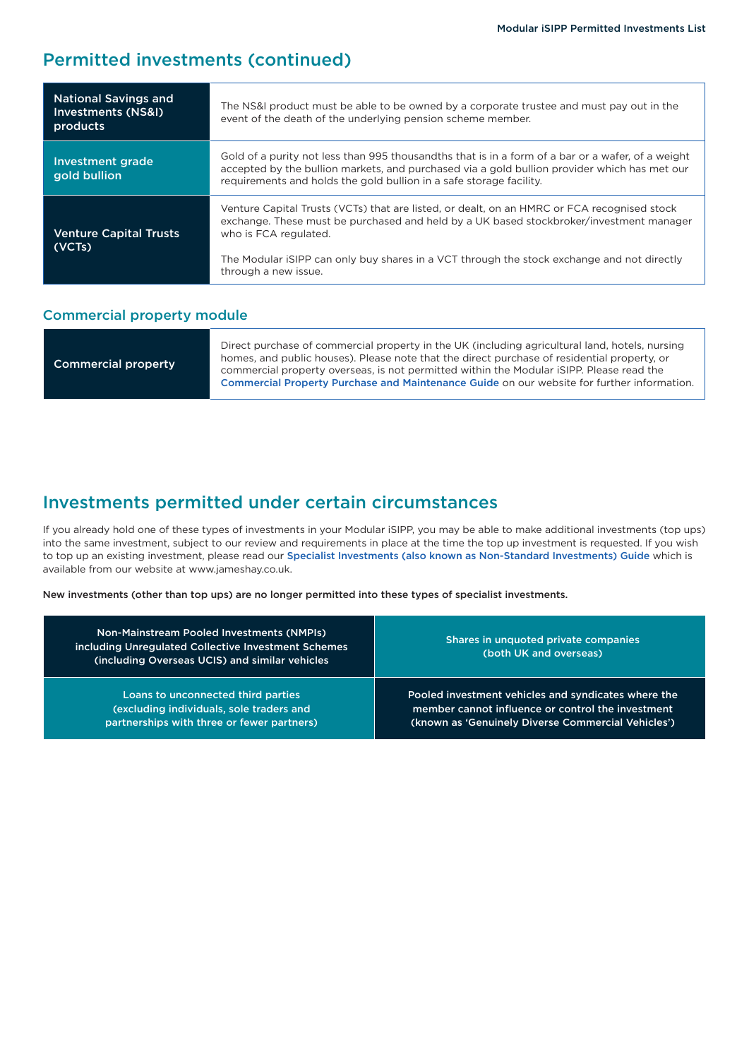### Permitted investments (continued)

| <b>National Savings and</b><br>Investments (NS&I)<br>products | The NS&I product must be able to be owned by a corporate trustee and must pay out in the<br>event of the death of the underlying pension scheme member.                                                                                                                  |  |
|---------------------------------------------------------------|--------------------------------------------------------------------------------------------------------------------------------------------------------------------------------------------------------------------------------------------------------------------------|--|
| Investment grade<br>gold bullion                              | Gold of a purity not less than 995 thousandths that is in a form of a bar or a wafer, of a weight<br>accepted by the bullion markets, and purchased via a gold bullion provider which has met our<br>requirements and holds the gold bullion in a safe storage facility. |  |
| <b>Venture Capital Trusts</b><br>(VCTs)                       | Venture Capital Trusts (VCTs) that are listed, or dealt, on an HMRC or FCA recognised stock<br>exchange. These must be purchased and held by a UK based stockbroker/investment manager<br>who is FCA regulated.                                                          |  |
|                                                               | The Modular iSIPP can only buy shares in a VCT through the stock exchange and not directly<br>through a new issue.                                                                                                                                                       |  |

#### Commercial property module

### Investments permitted under certain circumstances

If you already hold one of these types of investments in your Modular iSIPP, you may be able to make additional investments (top ups) into the same investment, subject to our review and requirements in place at the time the top up investment is requested. If you wish to top up an existing investment, please read our [Specialist Investments \(also known as Non-Standard Investments\) Guide](https://www.jameshay.co.uk/OldCMS/DocumentView.aspx?DocumentID=3150) which is available from our website at www.jameshay.co.uk.

New investments (other than top ups) are no longer permitted into these types of specialist investments.

| <b>Non-Mainstream Pooled Investments (NMPIs)</b><br>including Unregulated Collective Investment Schemes<br>(including Overseas UCIS) and similar vehicles | Shares in unquoted private companies<br>(both UK and overseas) |
|-----------------------------------------------------------------------------------------------------------------------------------------------------------|----------------------------------------------------------------|
| Loans to unconnected third parties                                                                                                                        | Pooled investment vehicles and syndicates where the            |
| (excluding individuals, sole traders and                                                                                                                  | member cannot influence or control the investment              |
| partnerships with three or fewer partners)                                                                                                                | (known as 'Genuinely Diverse Commercial Vehicles')             |